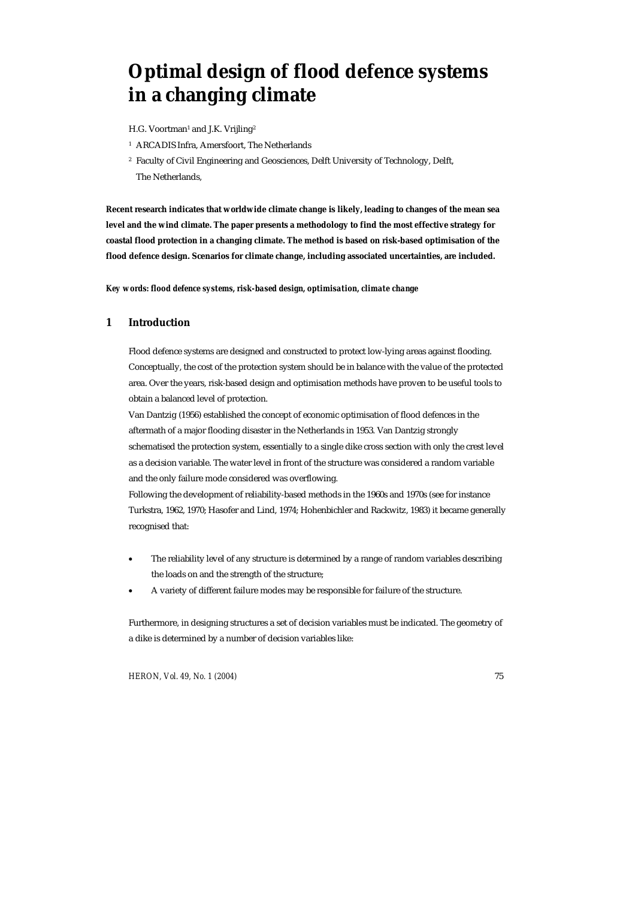# **Optimal design of flood defence systems in a changing climate**

H.G. Voortman<sup>1</sup> and J.K. Vrijling<sup>2</sup>

- <sup>1</sup> ARCADIS Infra, Amersfoort, The Netherlands
- 2 Faculty of Civil Engineering and Geosciences, Delft University of Technology, Delft, The Netherlands,

**Recent research indicates that worldwide climate change is likely, leading to changes of the mean sea level and the wind climate. The paper presents a methodology to find the most effective strategy for coastal flood protection in a changing climate. The method is based on risk-based optimisation of the flood defence design. Scenarios for climate change, including associated uncertainties, are included.** 

*Key words: flood defence systems, risk-based design, optimisation, climate change* 

# **1 Introduction**

Flood defence systems are designed and constructed to protect low-lying areas against flooding. Conceptually, the cost of the protection system should be in balance with the value of the protected area. Over the years, risk-based design and optimisation methods have proven to be useful tools to obtain a balanced level of protection.

Van Dantzig (1956) established the concept of economic optimisation of flood defences in the aftermath of a major flooding disaster in the Netherlands in 1953. Van Dantzig strongly schematised the protection system, essentially to a single dike cross section with only the crest level as a decision variable. The water level in front of the structure was considered a random variable and the only failure mode considered was overflowing.

Following the development of reliability-based methods in the 1960s and 1970s (see for instance Turkstra, 1962, 1970; Hasofer and Lind, 1974; Hohenbichler and Rackwitz, 1983) it became generally recognised that:

- The reliability level of any structure is determined by a range of random variables describing the loads on and the strength of the structure;
- A variety of different failure modes may be responsible for failure of the structure.

Furthermore, in designing structures a set of decision variables must be indicated. The geometry of a dike is determined by a number of decision variables like:

*HERON, Vol. 49, No. 1 (2004)* 75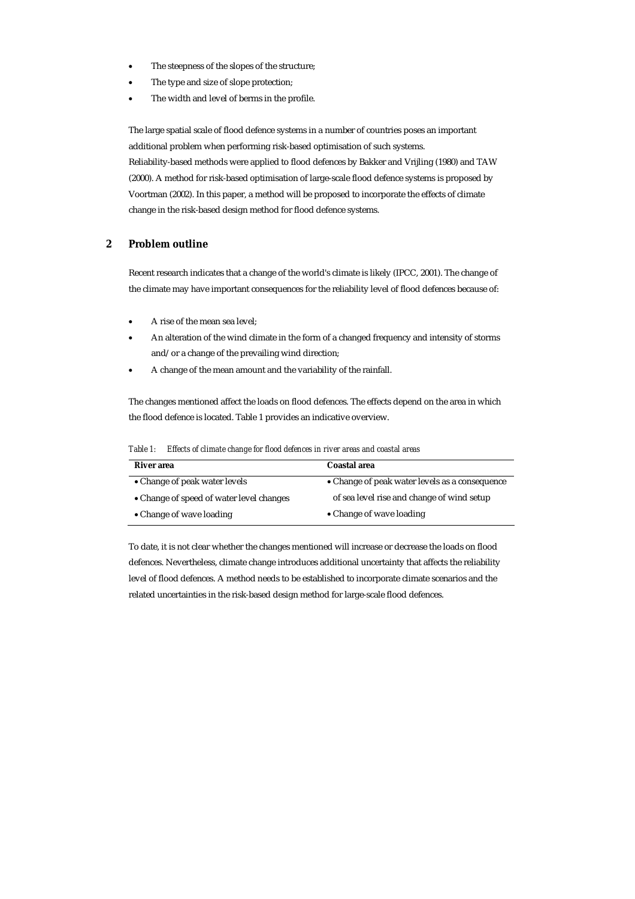- The steepness of the slopes of the structure;
- The type and size of slope protection;
- The width and level of berms in the profile.

The large spatial scale of flood defence systems in a number of countries poses an important additional problem when performing risk-based optimisation of such systems. Reliability-based methods were applied to flood defences by Bakker and Vrijling (1980) and TAW (2000). A method for risk-based optimisation of large-scale flood defence systems is proposed by Voortman (2002). In this paper, a method will be proposed to incorporate the effects of climate change in the risk-based design method for flood defence systems.

# **2 Problem outline**

Recent research indicates that a change of the world's climate is likely (IPCC, 2001). The change of the climate may have important consequences for the reliability level of flood defences because of:

- A rise of the mean sea level;
- An alteration of the wind climate in the form of a changed frequency and intensity of storms and/or a change of the prevailing wind direction;
- A change of the mean amount and the variability of the rainfall.

The changes mentioned affect the loads on flood defences. The effects depend on the area in which the flood defence is located. Table 1 provides an indicative overview.

| Table 1:<br>Effects of climate change for flood defences in river areas and coastal areas |  |  |
|-------------------------------------------------------------------------------------------|--|--|
|-------------------------------------------------------------------------------------------|--|--|

| River area                               | Coastal area                                   |
|------------------------------------------|------------------------------------------------|
| • Change of peak water levels            | • Change of peak water levels as a consequence |
| • Change of speed of water level changes | of sea level rise and change of wind setup     |
| • Change of wave loading                 | • Change of wave loading                       |

To date, it is not clear whether the changes mentioned will increase or decrease the loads on flood defences. Nevertheless, climate change introduces additional uncertainty that affects the reliability level of flood defences. A method needs to be established to incorporate climate scenarios and the related uncertainties in the risk-based design method for large-scale flood defences.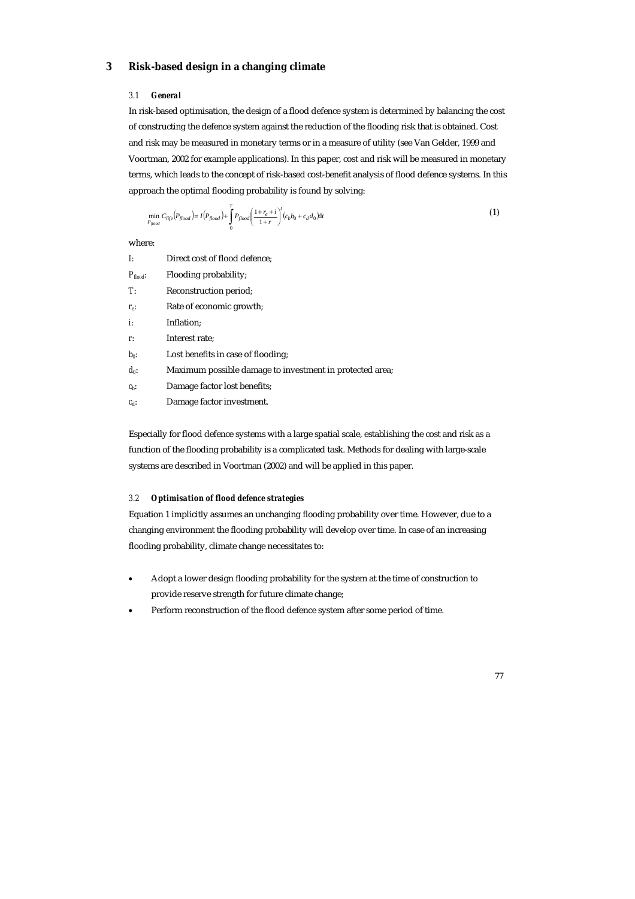# **3 Risk-based design in a changing climate**

#### *3.1 General*

In risk-based optimisation, the design of a flood defence system is determined by balancing the cost of constructing the defence system against the reduction of the flooding risk that is obtained. Cost and risk may be measured in monetary terms or in a measure of utility (see Van Gelder, 1999 and Voortman, 2002 for example applications). In this paper, cost and risk will be measured in monetary terms, which leads to the concept of risk-based cost-benefit analysis of flood defence systems. In this approach the optimal flooding probability is found by solving:

$$
\min_{P_{\text{flood}}}\, C_{\text{life}}(P_{\text{flood}}) = I\big(P_{\text{flood}}\big) + \int_{0}^{T} P_{\text{flood}}\bigg(\frac{1+r_e+i}{1+r}\bigg)^{t}\big(c_b b_0 + c_d d_0\big)dt\tag{1}
$$

where:

| Ŀ                    | Direct cost of flood defence;                            |
|----------------------|----------------------------------------------------------|
| $P_{\text{flood}}$ : | Flooding probability;                                    |
| T:                   | Reconstruction period;                                   |
| $r_{e}$              | Rate of economic growth;                                 |
| İ.                   | Inflation;                                               |
| r.                   | Interest rate:                                           |
| $b_0$ :              | Lost benefits in case of flooding:                       |
| $d_0$ :              | Maximum possible damage to investment in protected area; |
| $cb$ :               | Damage factor lost benefits;                             |
| $c_d$ :              | Damage factor investment.                                |
|                      |                                                          |

Especially for flood defence systems with a large spatial scale, establishing the cost and risk as a function of the flooding probability is a complicated task. Methods for dealing with large-scale systems are described in Voortman (2002) and will be applied in this paper.

# *3.2 Optimisation of flood defence strategies*

Equation 1 implicitly assumes an unchanging flooding probability over time. However, due to a changing environment the flooding probability will develop over time. In case of an increasing flooding probability, climate change necessitates to:

- Adopt a lower design flooding probability for the system at the time of construction to provide reserve strength for future climate change;
- Perform reconstruction of the flood defence system after some period of time.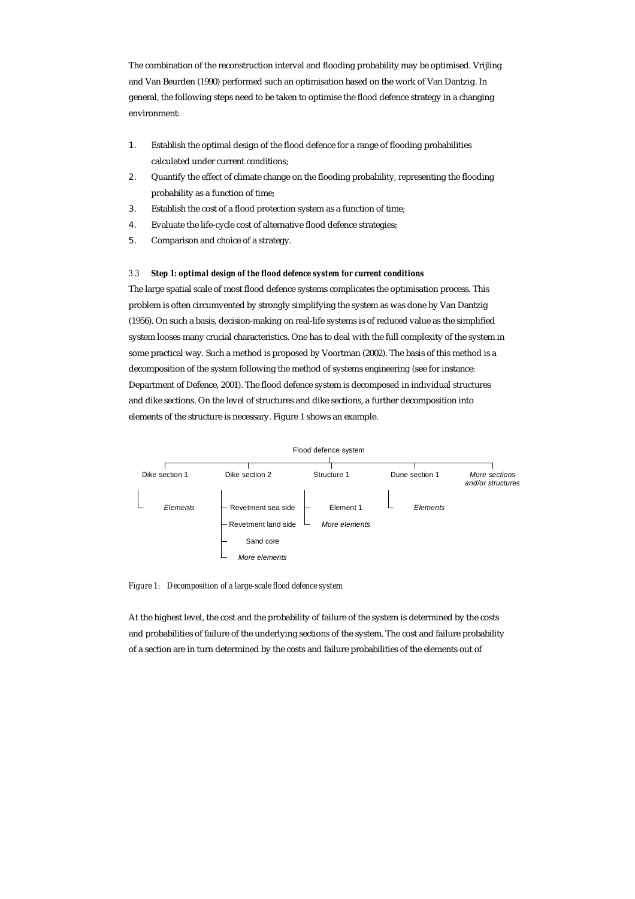The combination of the reconstruction interval and flooding probability may be optimised. Vrijling and Van Beurden (1990) performed such an optimisation based on the work of Van Dantzig. In general, the following steps need to be taken to optimise the flood defence strategy in a changing environment:

- 1. Establish the optimal design of the flood defence for a range of flooding probabilities calculated under current conditions;
- 2. Quantify the effect of climate change on the flooding probability, representing the flooding probability as a function of time;
- 3. Establish the cost of a flood protection system as a function of time;
- 4. Evaluate the life-cycle cost of alternative flood defence strategies;
- 5. Comparison and choice of a strategy.

## *3.3 Step 1: optimal design of the flood defence system for current conditions*

The large spatial scale of most flood defence systems complicates the optimisation process. This problem is often circumvented by strongly simplifying the system as was done by Van Dantzig (1956). On such a basis, decision-making on real-life systems is of reduced value as the simplified system looses many crucial characteristics. One has to deal with the full complexity of the system in some practical way. Such a method is proposed by Voortman (2002). The basis of this method is a decomposition of the system following the method of systems engineering (see for instance: Department of Defence, 2001). The flood defence system is decomposed in individual structures and dike sections. On the level of structures and dike sections, a further decomposition into elements of the structure is necessary. Figure 1 shows an example.



*Figure 1: Decomposition of a large-scale flood defence system* 

At the highest level, the cost and the probability of failure of the system is determined by the costs and probabilities of failure of the underlying sections of the system. The cost and failure probability of a section are in turn determined by the costs and failure probabilities of the elements out of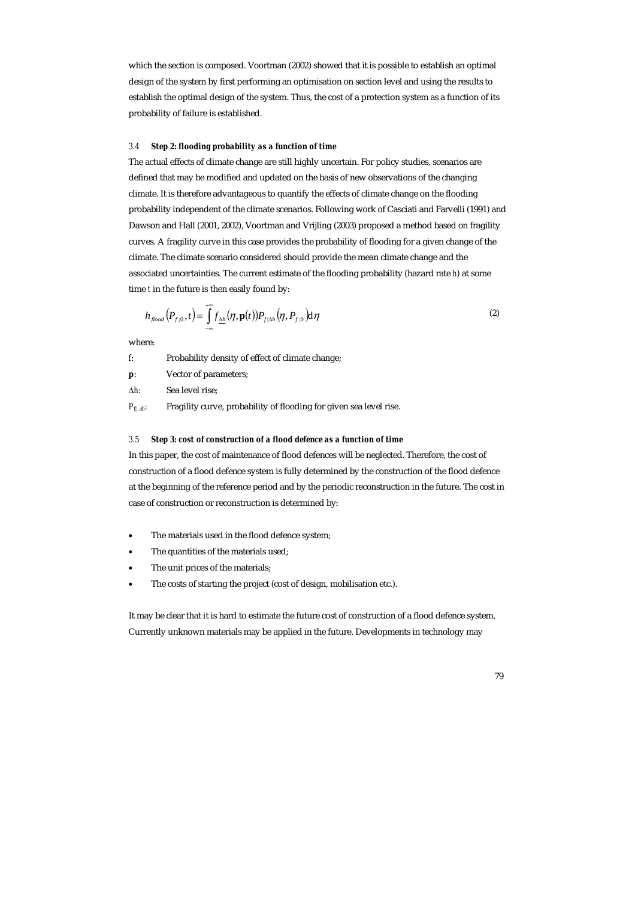which the section is composed. Voortman (2002) showed that it is possible to establish an optimal design of the system by first performing an optimisation on section level and using the results to establish the optimal design of the system. Thus, the cost of a protection system as a function of its probability of failure is established.

#### *3.4 Step 2: flooding probability as a function of time*

The actual effects of climate change are still highly uncertain. For policy studies, scenarios are defined that may be modified and updated on the basis of new observations of the changing climate. It is therefore advantageous to quantify the effects of climate change on the flooding probability independent of the climate scenarios. Following work of Casciati and Farvelli (1991) and Dawson and Hall (2001, 2002), Voortman and Vrijling (2003) proposed a method based on fragility curves. A fragility curve in this case provides the probability of flooding for a given change of the climate. The climate scenario considered should provide the mean climate change and the associated uncertainties. The current estimate of the flooding probability (hazard rate *h*) at some time *t* in the future is then easily found by:

$$
h_{\text{flood}}(P_{f:0},t) = \int_{-\infty}^{+\infty} f_{\underline{\Delta h}}(\eta, \mathbf{p}(t)) P_{f|\Delta h}(\eta, P_{f:0}) d\eta
$$
\n(2)

where:

| f.           | Probability density of effect of climate change;                   |
|--------------|--------------------------------------------------------------------|
| D.           | Vector of parameters;                                              |
| $\Delta h$ : | Sea level rise;                                                    |
| $P_{f/Ab}$ : | Fragility curve, probability of flooding for given sea level rise. |

#### *3.5 Step 3: cost of construction of a flood defence as a function of time*

In this paper, the cost of maintenance of flood defences will be neglected. Therefore, the cost of construction of a flood defence system is fully determined by the construction of the flood defence at the beginning of the reference period and by the periodic reconstruction in the future. The cost in case of construction or reconstruction is determined by:

- The materials used in the flood defence system;
- The quantities of the materials used;
- The unit prices of the materials;
- The costs of starting the project (cost of design, mobilisation etc.).

It may be clear that it is hard to estimate the future cost of construction of a flood defence system. Currently unknown materials may be applied in the future. Developments in technology may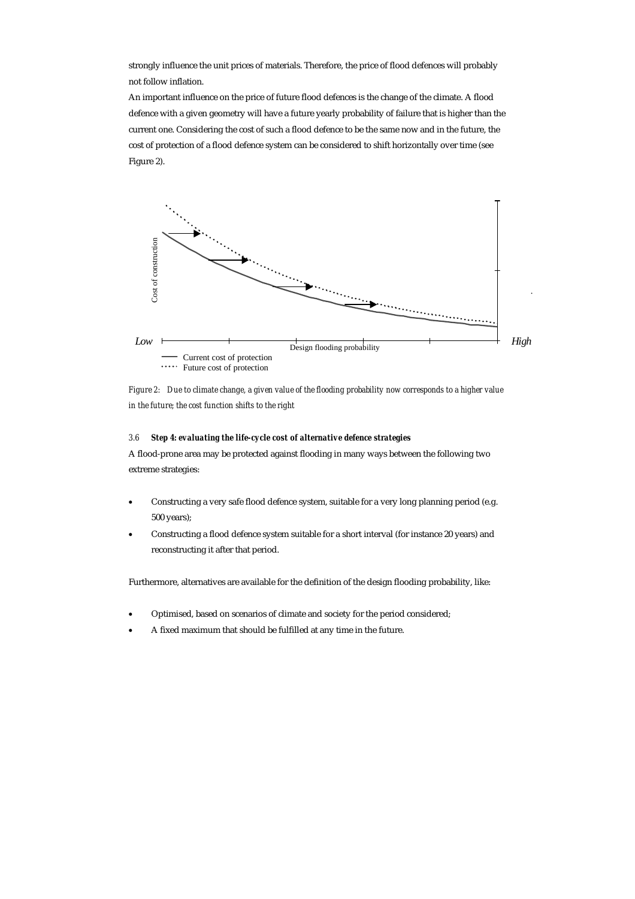strongly influence the unit prices of materials. Therefore, the price of flood defences will probably not follow inflation.

An important influence on the price of future flood defences is the change of the climate. A flood defence with a given geometry will have a future yearly probability of failure that is higher than the current one. Considering the cost of such a flood defence to be the same now and in the future, the cost of protection of a flood defence system can be considered to shift horizontally over time (see Figure 2).





#### *3.6 Step 4: evaluating the life-cycle cost of alternative defence strategies*

A flood-prone area may be protected against flooding in many ways between the following two extreme strategies:

- Constructing a very safe flood defence system, suitable for a very long planning period (e.g. 500 years);
- Constructing a flood defence system suitable for a short interval (for instance 20 years) and reconstructing it after that period.

Furthermore, alternatives are available for the definition of the design flooding probability, like:

- Optimised, based on scenarios of climate and society for the period considered;
- A fixed maximum that should be fulfilled at any time in the future.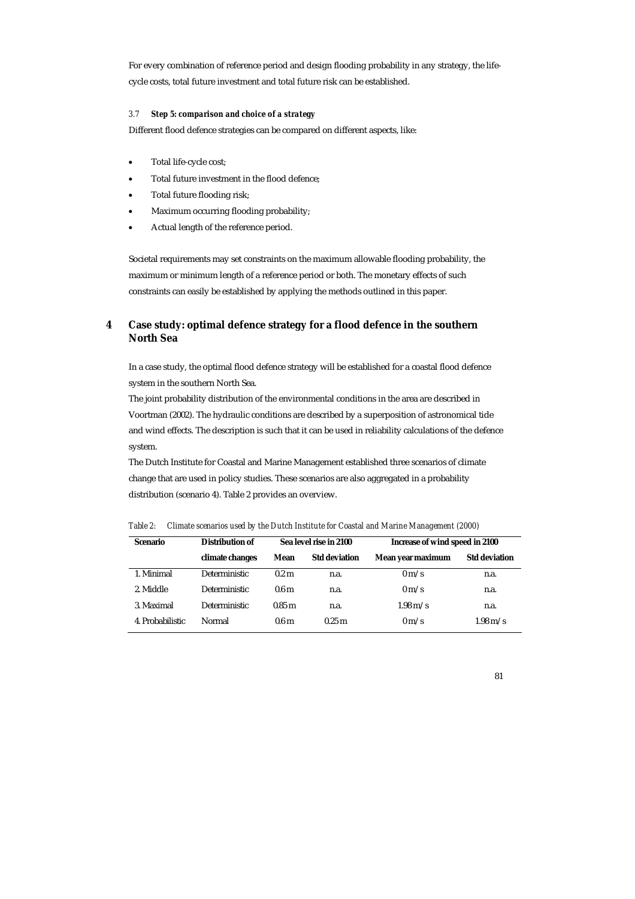For every combination of reference period and design flooding probability in any strategy, the lifecycle costs, total future investment and total future risk can be established.

# *3.7 Step 5: comparison and choice of a strategy*

Different flood defence strategies can be compared on different aspects, like:

- Total life-cycle cost;
- Total future investment in the flood defence;
- Total future flooding risk;
- Maximum occurring flooding probability;
- Actual length of the reference period.

Societal requirements may set constraints on the maximum allowable flooding probability, the maximum or minimum length of a reference period or both. The monetary effects of such constraints can easily be established by applying the methods outlined in this paper.

# **4 Case study: optimal defence strategy for a flood defence in the southern North Sea**

In a case study, the optimal flood defence strategy will be established for a coastal flood defence system in the southern North Sea.

The joint probability distribution of the environmental conditions in the area are described in Voortman (2002). The hydraulic conditions are described by a superposition of astronomical tide and wind effects. The description is such that it can be used in reliability calculations of the defence system.

The Dutch Institute for Coastal and Marine Management established three scenarios of climate change that are used in policy studies. These scenarios are also aggregated in a probability distribution (scenario 4). Table 2 provides an overview.

*Table 2: Climate scenarios used by the Dutch Institute for Coastal and Marine Management (2000)* 

| <b>Scenario</b>  | Distribution of      | Sea level rise in 2100 |                      | Increase of wind speed in 2100 |                      |
|------------------|----------------------|------------------------|----------------------|--------------------------------|----------------------|
|                  | climate changes      | Mean                   | <b>Std deviation</b> | Mean year maximum              | <b>Std deviation</b> |
| 1. Minimal       | Deterministic        | 0.2 <sub>m</sub>       | n.a.                 | $0 \text{ m/s}$                | n.a.                 |
| 2. Middle        | Deterministic        | 0.6 <sub>m</sub>       | n.a.                 | $0 \text{ m/s}$                | n.a.                 |
| 3. Maximal       | <b>Deterministic</b> | 0.85 <sub>m</sub>      | n.a.                 | $1.98 \text{ m/s}$             | n.a.                 |
| 4. Probabilistic | Normal               | 0.6 <sub>m</sub>       | $0.25 \text{ m}$     | $0 \text{ m/s}$                | $1.98 \text{ m/s}$   |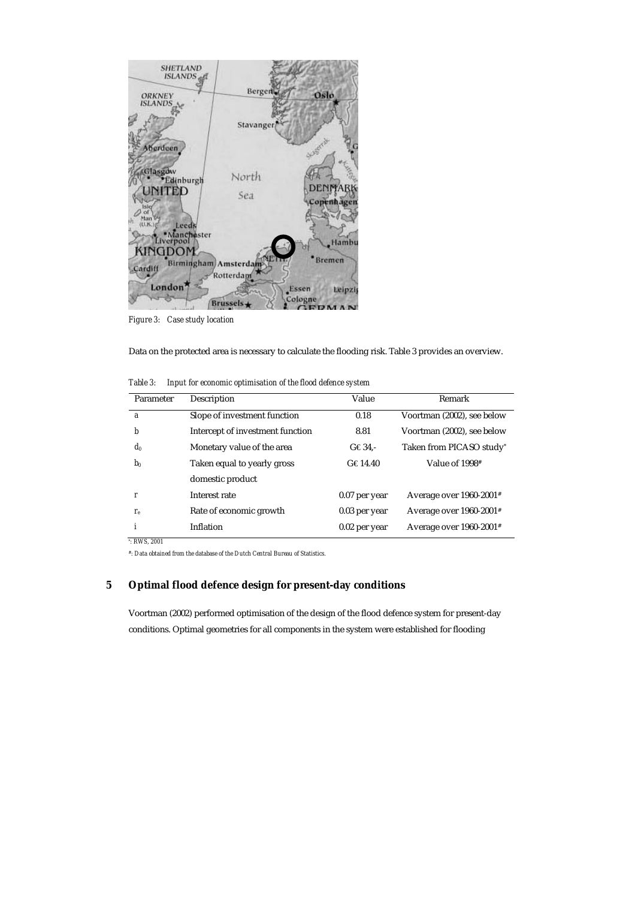

*Figure 3: Case study location* 

Data on the protected area is necessary to calculate the flooding risk. Table 3 provides an overview.

| Parameter | Description                      | Value           | Remark                                |
|-----------|----------------------------------|-----------------|---------------------------------------|
| a         | Slope of investment function     | 0.18            | Voortman (2002), see below            |
| b         | Intercept of investment function | 8.81            | Voortman (2002), see below            |
| $d_0$     | Monetary value of the area       | $G \in 34$ .    | Taken from PICASO study*              |
| $b_0$     | Taken equal to yearly gross      | $G \in 14.40$   | Value of 1998#                        |
|           | domestic product                 |                 |                                       |
| r         | Interest rate                    | 0.07 per year   | Average over $1960-2001$ <sup>#</sup> |
| $r_e$     | Rate of economic growth          | 0.03 per year   | Average over 1960-2001#               |
| i         | Inflation                        | $0.02$ per year | Average over $1960-2001$ <sup>#</sup> |

*Table 3: Input for economic optimisation of the flood defence system* 

*\* : RWS, 2001* 

*#: Data obtained from the database of the Dutch Central Bureau of Statistics.* 

# **5 Optimal flood defence design for present-day conditions**

Voortman (2002) performed optimisation of the design of the flood defence system for present-day conditions. Optimal geometries for all components in the system were established for flooding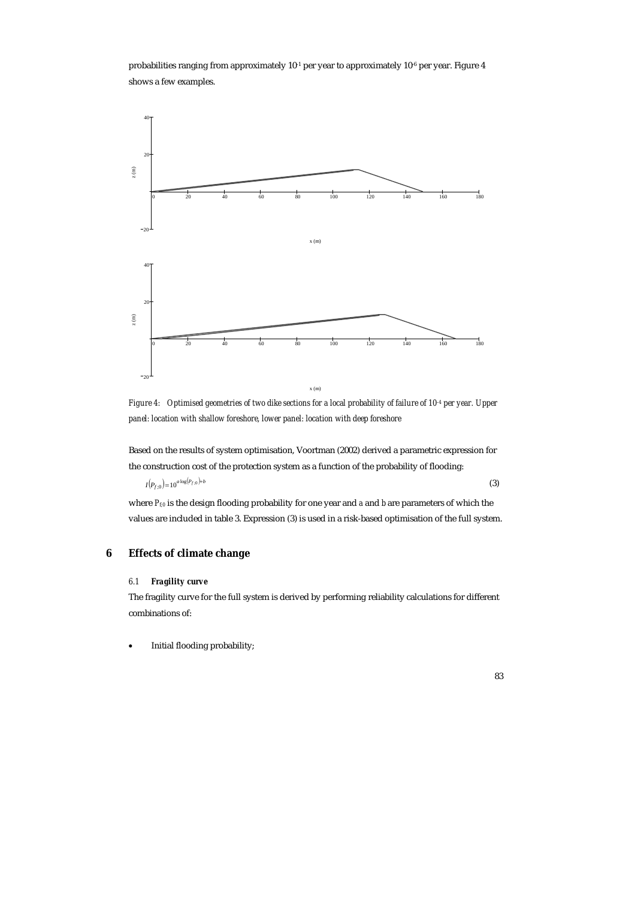probabilities ranging from approximately  $10^{-1}$  per year to approximately  $10^{-6}$  per year. Figure 4 shows a few examples.



*Figure 4:* Optimised geometries of two dike sections for a local probability of failure of 10<sup>-4</sup> per year. Upper *panel: location with shallow foreshore, lower panel: location with deep foreshore* 

Based on the results of system optimisation, Voortman (2002) derived a parametric expression for the construction cost of the protection system as a function of the probability of flooding:

 $I(P_{f,0}) = 10^{a \log(P_{f,0}) + b}$  (3)

where  $P_{f0}$  is the design flooding probability for one year and *a* and *b* are parameters of which the values are included in table 3. Expression (3) is used in a risk-based optimisation of the full system.

# **6 Effects of climate change**

# *6.1 Fragility curve*

The fragility curve for the full system is derived by performing reliability calculations for different combinations of:

• Initial flooding probability;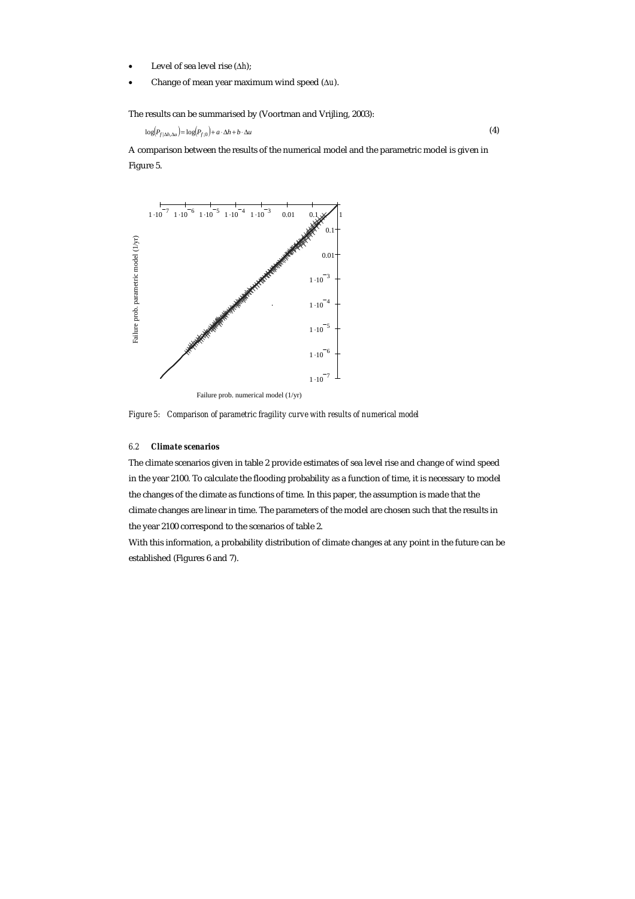- Level of sea level rise (∆*h*);
- Change of mean year maximum wind speed (∆*u*).

The results can be summarised by (Voortman and Vrijling, 2003):

 $log(P_{f|\Delta h, \Delta u}) = log(P_{f \cdot 0}) + a \cdot \Delta h + b \cdot \Delta u$  (4)

A comparison between the results of the numerical model and the parametric model is given in Figure 5.



*Figure 5: Comparison of parametric fragility curve with results of numerical model* 

# *6.2 Climate scenarios*

The climate scenarios given in table 2 provide estimates of sea level rise and change of wind speed in the year 2100. To calculate the flooding probability as a function of time, it is necessary to model the changes of the climate as functions of time. In this paper, the assumption is made that the climate changes are linear in time. The parameters of the model are chosen such that the results in the year 2100 correspond to the scenarios of table 2.

With this information, a probability distribution of climate changes at any point in the future can be established (Figures 6 and 7).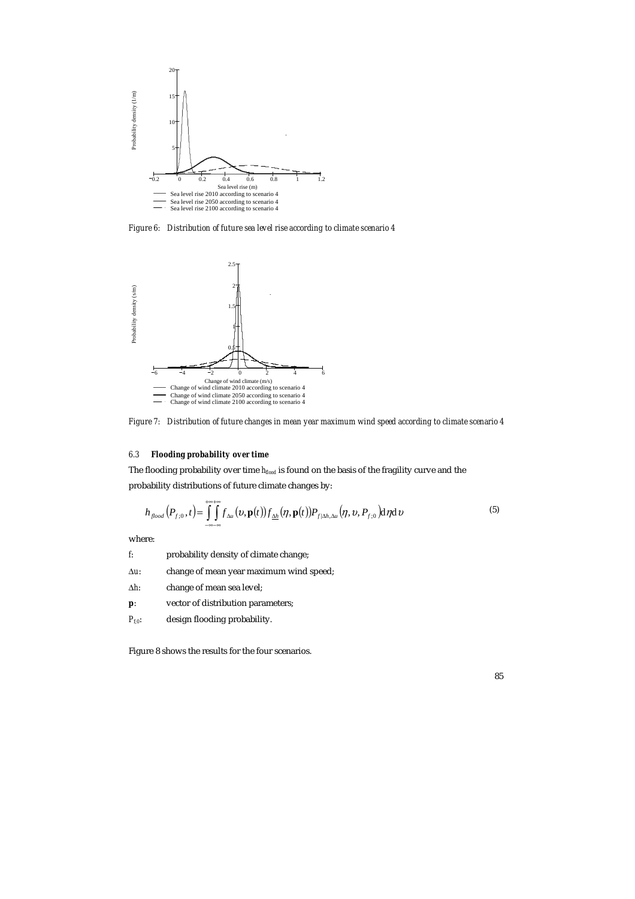

*Figure 6: Distribution of future sea level rise according to climate scenario 4* 



*Figure 7: Distribution of future changes in mean year maximum wind speed according to climate scenario 4* 

# *6.3 Flooding probability over time*

The flooding probability over time *hflood* is found on the basis of the fragility curve and the probability distributions of future climate changes by:

$$
h_{\text{flood}}(P_{f:0},t) = \iint_{-\infty}^{+\infty} f_{\Delta u}(v,\mathbf{p}(t)) f_{\Delta h}(\eta,\mathbf{p}(t)) P_{f|\Delta h,\Delta u}(\eta,v,P_{f:0}) d\eta d\upsilon
$$
\n(5)

where:

| f.             | probability density of climate change;  |
|----------------|-----------------------------------------|
| $\Delta u$ :   | change of mean year maximum wind speed; |
| Δh:            | change of mean sea level:               |
| $\mathbf{p}$ : | vector of distribution parameters;      |
| $P_{f:0}$ :    | design flooding probability.            |

Figure 8 shows the results for the four scenarios.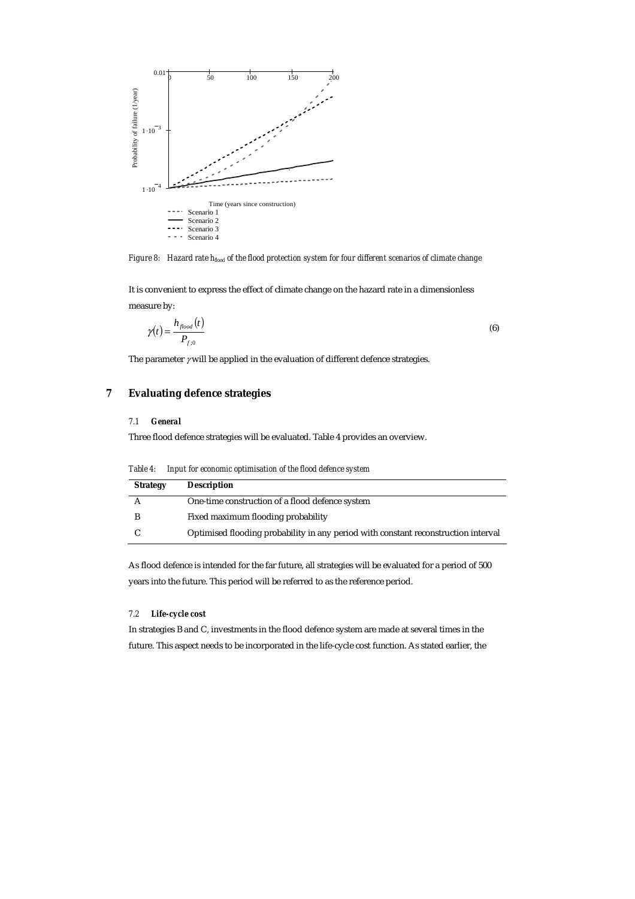

*Figure 8:* Hazard rate  $h_{\text{floor}}$  of the flood protection system for four different scenarios of climate change

It is convenient to express the effect of climate change on the hazard rate in a dimensionless measure by:

$$
\gamma(t) = \frac{h_{\text{flood}}(t)}{P_{\text{f.o}}}
$$
\n(6)

The parameter  $\gamma$  will be applied in the evaluation of different defence strategies.

# **7 Evaluating defence strategies**

#### *7.1 General*

Three flood defence strategies will be evaluated. Table 4 provides an overview.

*Table 4: Input for economic optimisation of the flood defence system* 

| <b>Strategy</b> | <b>Description</b>                                                                 |
|-----------------|------------------------------------------------------------------------------------|
|                 | One-time construction of a flood defence system                                    |
|                 | Fixed maximum flooding probability                                                 |
|                 | Optimised flooding probability in any period with constant reconstruction interval |

As flood defence is intended for the far future, all strategies will be evaluated for a period of 500 years into the future. This period will be referred to as the reference period.

## *7.2 Life-cycle cost*

In strategies B and C, investments in the flood defence system are made at several times in the future. This aspect needs to be incorporated in the life-cycle cost function. As stated earlier, the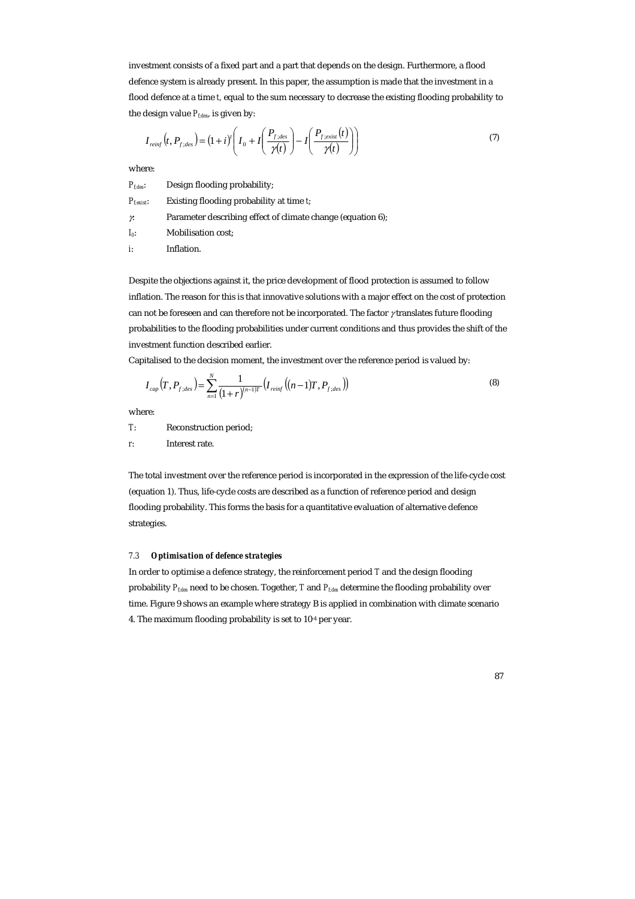investment consists of a fixed part and a part that depends on the design. Furthermore, a flood defence system is already present. In this paper, the assumption is made that the investment in a flood defence at a time *t,* equal to the sum necessary to decrease the existing flooding probability to the design value  $P_{fdes}$  is given by:

$$
I_{reinf}(t, P_{f:des}) = (1+i)^{t} \left( I_0 + I \left( \frac{P_{f:des}}{\gamma(t)} \right) - I \left( \frac{P_{f:exist}(t)}{\gamma(t)} \right) \right)
$$
(7)

where:

| $P_{fides}:$           | Design flooding probability;                                |
|------------------------|-------------------------------------------------------------|
| $P_{\text{flexist}}$ : | Existing flooding probability at time t;                    |
| γ.                     | Parameter describing effect of climate change (equation 6); |
| $I_0$ :                | <b>Mobilisation cost;</b>                                   |
| i:                     | Inflation.                                                  |

Despite the objections against it, the price development of flood protection is assumed to follow inflation. The reason for this is that innovative solutions with a major effect on the cost of protection can not be foreseen and can therefore not be incorporated. The factor γ translates future flooding probabilities to the flooding probabilities under current conditions and thus provides the shift of the investment function described earlier.

Capitalised to the decision moment, the investment over the reference period is valued by:

$$
I_{cap}(T, P_{f;des}) = \sum_{n=1}^{N} \frac{1}{(1+r)^{(n-1)T}} \left( I_{reinf} \left( (n-1)T, P_{f;des} \right) \right)
$$
(8)

where:

*T*: Reconstruction period;

*r*: Interest rate.

The total investment over the reference period is incorporated in the expression of the life-cycle cost (equation 1). Thus, life-cycle costs are described as a function of reference period and design flooding probability. This forms the basis for a quantitative evaluation of alternative defence strategies.

# *7.3 Optimisation of defence strategies*

In order to optimise a defence strategy, the reinforcement period *T* and the design flooding probability *Pf;des* need to be chosen. Together, *T* and *Pf;des* determine the flooding probability over time. Figure 9 shows an example where strategy B is applied in combination with climate scenario 4. The maximum flooding probability is set to 10-4 per year.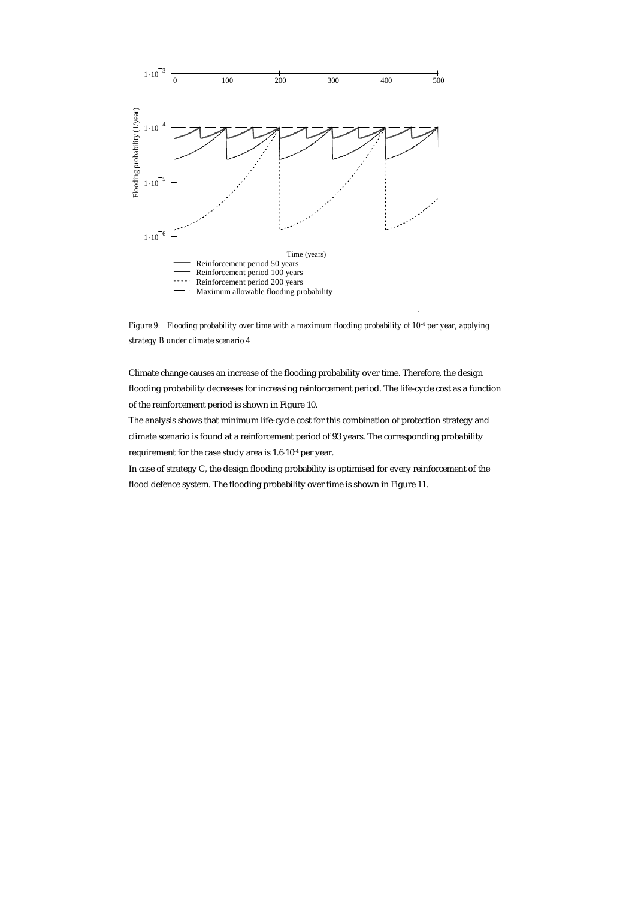

*Figure 9: Flooding probability over time with a maximum flooding probability of 10-4 per year, applying strategy B under climate scenario 4* 

Climate change causes an increase of the flooding probability over time. Therefore, the design flooding probability decreases for increasing reinforcement period. The life-cycle cost as a function of the reinforcement period is shown in Figure 10.

The analysis shows that minimum life-cycle cost for this combination of protection strategy and climate scenario is found at a reinforcement period of 93 years. The corresponding probability requirement for the case study area is 1.6⋅10-4 per year.

In case of strategy C, the design flooding probability is optimised for every reinforcement of the flood defence system. The flooding probability over time is shown in Figure 11.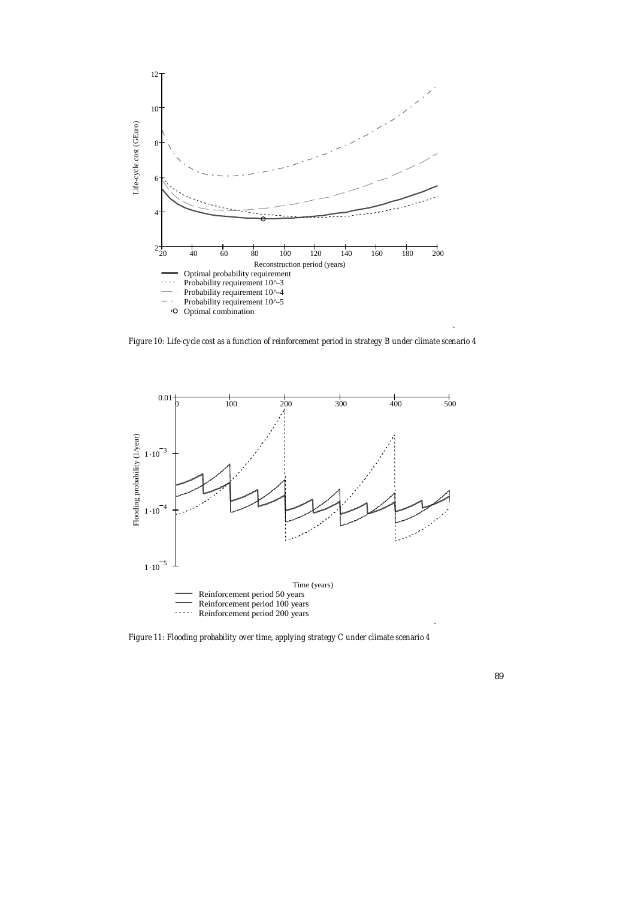

*Figure 10: Life-cycle cost as a function of reinforcement period in strategy B under climate scenario 4* 



*Figure 11: Flooding probability over time, applying strategy C under climate scenario 4*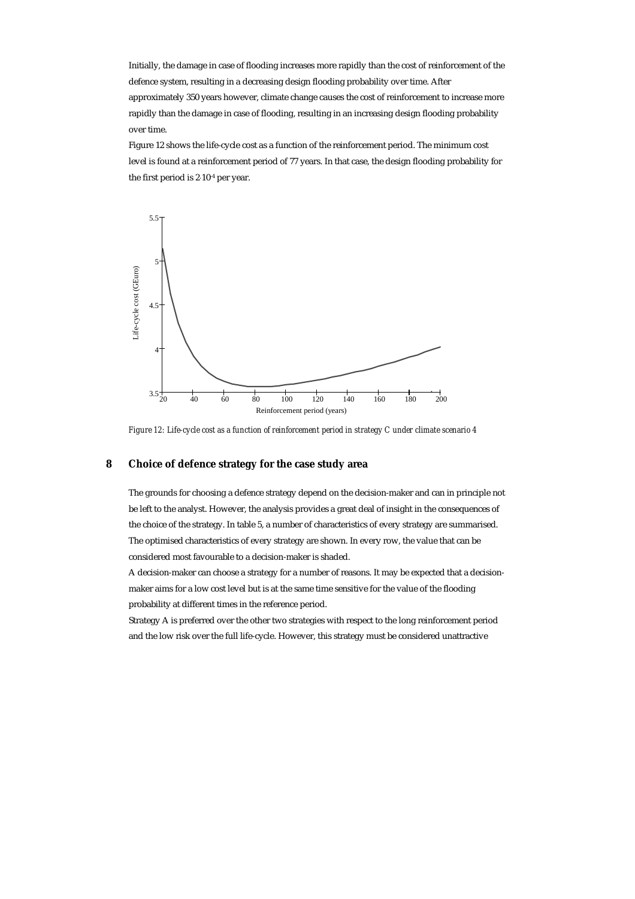Initially, the damage in case of flooding increases more rapidly than the cost of reinforcement of the defence system, resulting in a decreasing design flooding probability over time. After approximately 350 years however, climate change causes the cost of reinforcement to increase more rapidly than the damage in case of flooding, resulting in an increasing design flooding probability over time.

Figure 12 shows the life-cycle cost as a function of the reinforcement period. The minimum cost level is found at a reinforcement period of 77 years. In that case, the design flooding probability for the first period is 2⋅10-4 per year.



*Figure 12: Life-cycle cost as a function of reinforcement period in strategy C under climate scenario 4* 

# **8 Choice of defence strategy for the case study area**

The grounds for choosing a defence strategy depend on the decision-maker and can in principle not be left to the analyst. However, the analysis provides a great deal of insight in the consequences of the choice of the strategy. In table 5, a number of characteristics of every strategy are summarised. The optimised characteristics of every strategy are shown. In every row, the value that can be considered most favourable to a decision-maker is shaded.

A decision-maker can choose a strategy for a number of reasons. It may be expected that a decisionmaker aims for a low cost level but is at the same time sensitive for the value of the flooding probability at different times in the reference period.

Strategy A is preferred over the other two strategies with respect to the long reinforcement period and the low risk over the full life-cycle. However, this strategy must be considered unattractive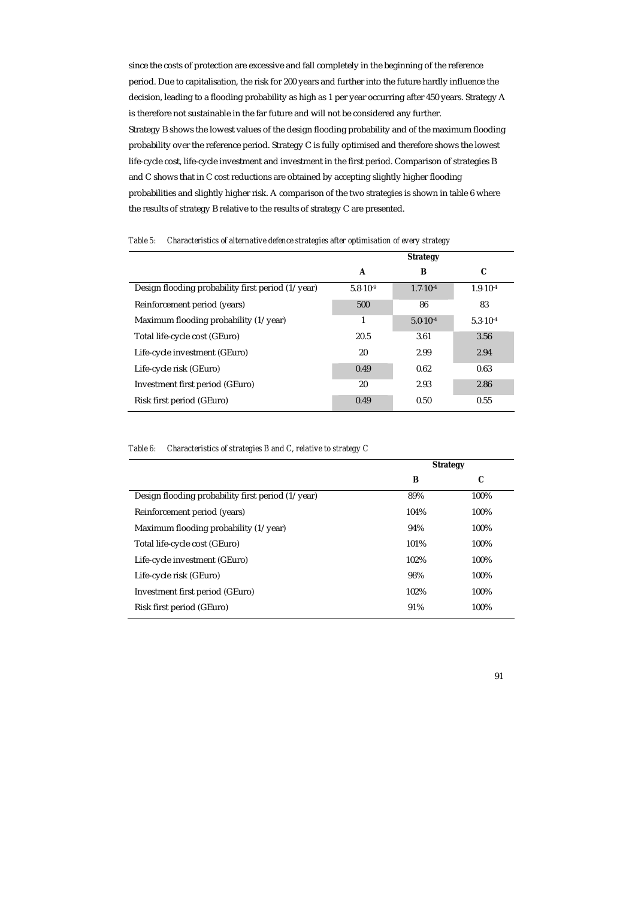since the costs of protection are excessive and fall completely in the beginning of the reference period. Due to capitalisation, the risk for 200 years and further into the future hardly influence the decision, leading to a flooding probability as high as 1 per year occurring after 450 years. Strategy A is therefore not sustainable in the far future and will not be considered any further. Strategy B shows the lowest values of the design flooding probability and of the maximum flooding probability over the reference period. Strategy C is fully optimised and therefore shows the lowest life-cycle cost, life-cycle investment and investment in the first period. Comparison of strategies B and C shows that in C cost reductions are obtained by accepting slightly higher flooding probabilities and slightly higher risk. A comparison of the two strategies is shown in table 6 where the results of strategy B relative to the results of strategy C are presented.

|                                                           |                     | <b>Strategy</b>     |                     |
|-----------------------------------------------------------|---------------------|---------------------|---------------------|
|                                                           | A                   | В                   | C                   |
| Design flooding probability first period $(1/\gamma ear)$ | $5.8 \cdot 10^{-9}$ | $1.7 \cdot 10^{-4}$ | $1.9 \cdot 10^{-4}$ |
| Reinforcement period (years)                              | 500                 | 86                  | 83                  |
| Maximum flooding probability $(1/\gamma e^{\alpha})$      | 1                   | $5.0 \cdot 10^{-4}$ | $5.3 \cdot 10^{-4}$ |
| Total life-cycle cost (GEuro)                             | 20.5                | 3.61                | 3.56                |
| Life-cycle investment (GEuro)                             | 20                  | 2.99                | 2.94                |
| Life-cycle risk (GEuro)                                   | 0.49                | 0.62                | 0.63                |
| Investment first period (GEuro)                           | 20                  | 2.93                | 2.86                |
| Risk first period (GEuro)                                 | 0.49                | 0.50                | 0.55                |
|                                                           |                     |                     |                     |

*Table 5: Characteristics of alternative defence strategies after optimisation of every strategy* 

| Table 6: | Characteristics of strategies B and C, relative to strategy C |  |  |
|----------|---------------------------------------------------------------|--|--|
|          |                                                               |  |  |

|                                                      | <b>Strategy</b> |      |
|------------------------------------------------------|-----------------|------|
|                                                      | в               | C    |
| Design flooding probability first period (1/year)    | 89%             | 100% |
| Reinforcement period (years)                         | 104%            | 100% |
| Maximum flooding probability $(1/\gamma e^{\alpha})$ | 94%             | 100% |
| Total life-cycle cost (GEuro)                        | 101%            | 100% |
| Life-cycle investment (GEuro)                        | 102%            | 100% |
| Life-cycle risk (GEuro)                              | 98%             | 100% |
| Investment first period (GEuro)                      | 102%            | 100% |
| Risk first period (GEuro)                            | 91%             | 100% |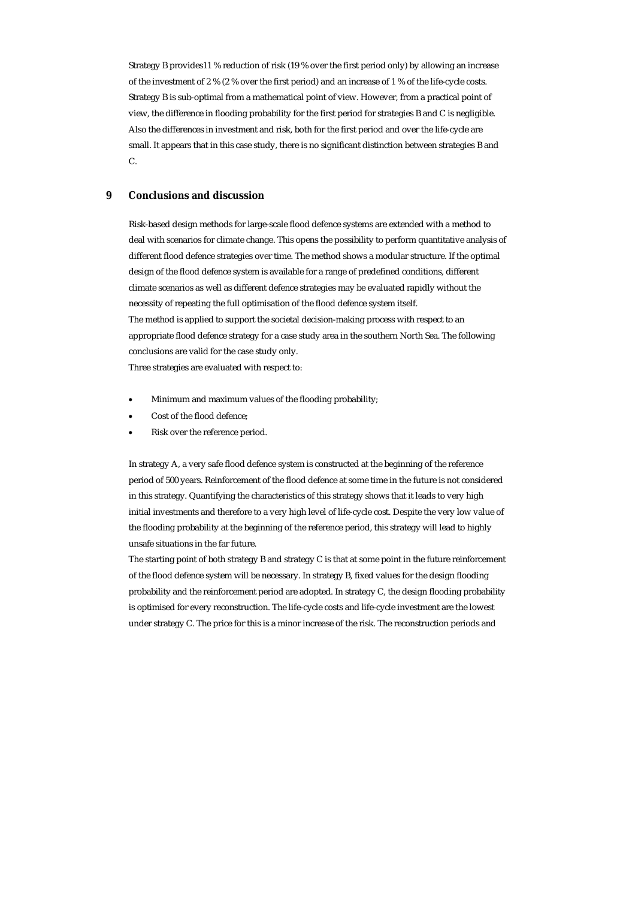Strategy B provides11 % reduction of risk (19 % over the first period only) by allowing an increase of the investment of 2 % (2 % over the first period) and an increase of 1 % of the life-cycle costs. Strategy B is sub-optimal from a mathematical point of view. However, from a practical point of view, the difference in flooding probability for the first period for strategies B and C is negligible. Also the differences in investment and risk, both for the first period and over the life-cycle are small. It appears that in this case study, there is no significant distinction between strategies B and C.

# **9 Conclusions and discussion**

Risk-based design methods for large-scale flood defence systems are extended with a method to deal with scenarios for climate change. This opens the possibility to perform quantitative analysis of different flood defence strategies over time. The method shows a modular structure. If the optimal design of the flood defence system is available for a range of predefined conditions, different climate scenarios as well as different defence strategies may be evaluated rapidly without the necessity of repeating the full optimisation of the flood defence system itself. The method is applied to support the societal decision-making process with respect to an appropriate flood defence strategy for a case study area in the southern North Sea. The following conclusions are valid for the case study only. Three strategies are evaluated with respect to:

- Minimum and maximum values of the flooding probability;
- Cost of the flood defence;
- Risk over the reference period.

In strategy A, a very safe flood defence system is constructed at the beginning of the reference period of 500 years. Reinforcement of the flood defence at some time in the future is not considered in this strategy. Quantifying the characteristics of this strategy shows that it leads to very high initial investments and therefore to a very high level of life-cycle cost. Despite the very low value of the flooding probability at the beginning of the reference period, this strategy will lead to highly unsafe situations in the far future.

The starting point of both strategy B and strategy C is that at some point in the future reinforcement of the flood defence system will be necessary. In strategy B, fixed values for the design flooding probability and the reinforcement period are adopted. In strategy C, the design flooding probability is optimised for every reconstruction. The life-cycle costs and life-cycle investment are the lowest under strategy C. The price for this is a minor increase of the risk. The reconstruction periods and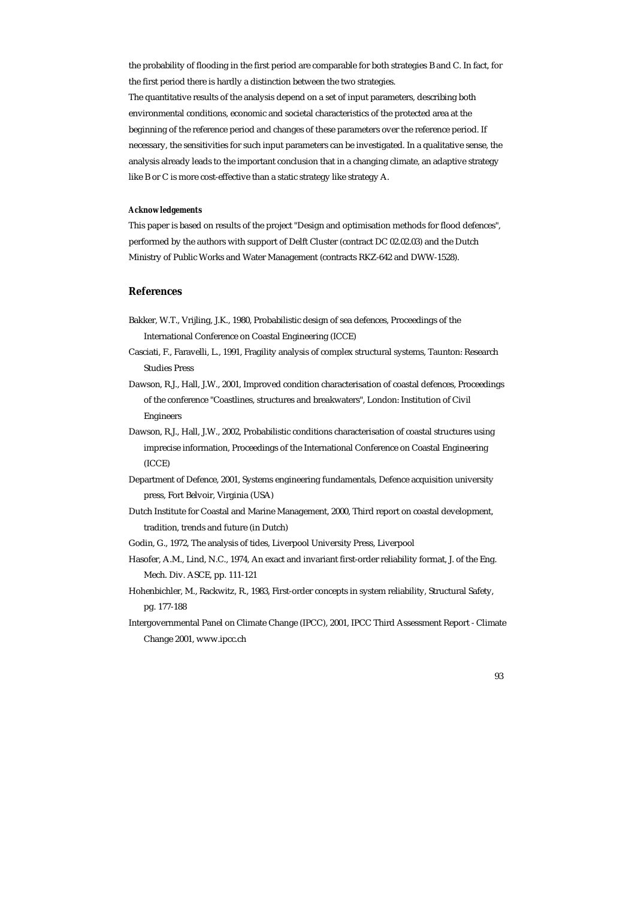the probability of flooding in the first period are comparable for both strategies B and C. In fact, for the first period there is hardly a distinction between the two strategies.

The quantitative results of the analysis depend on a set of input parameters, describing both environmental conditions, economic and societal characteristics of the protected area at the beginning of the reference period and changes of these parameters over the reference period. If necessary, the sensitivities for such input parameters can be investigated. In a qualitative sense, the analysis already leads to the important conclusion that in a changing climate, an adaptive strategy like B or C is more cost-effective than a static strategy like strategy A.

#### *Acknowledgements*

This paper is based on results of the project "Design and optimisation methods for flood defences", performed by the authors with support of Delft Cluster (contract DC 02.02.03) and the Dutch Ministry of Public Works and Water Management (contracts RKZ-642 and DWW-1528).

## **References**

- Bakker, W.T., Vrijling, J.K., 1980, Probabilistic design of sea defences, Proceedings of the International Conference on Coastal Engineering (ICCE)
- Casciati, F., Faravelli, L., 1991, Fragility analysis of complex structural systems, Taunton: Research Studies Press
- Dawson, R.J., Hall, J.W., 2001, Improved condition characterisation of coastal defences, Proceedings of the conference "Coastlines, structures and breakwaters", London: Institution of Civil Engineers
- Dawson, R.J., Hall, J.W., 2002, Probabilistic conditions characterisation of coastal structures using imprecise information, Proceedings of the International Conference on Coastal Engineering (ICCE)
- Department of Defence, 2001, Systems engineering fundamentals, Defence acquisition university press, Fort Belvoir, Virginia (USA)
- Dutch Institute for Coastal and Marine Management, 2000, Third report on coastal development, tradition, trends and future (in Dutch)
- Godin, G., 1972, The analysis of tides, Liverpool University Press, Liverpool
- Hasofer, A.M., Lind, N.C., 1974, An exact and invariant first-order reliability format, J. of the Eng. Mech. Div. ASCE, pp. 111-121
- Hohenbichler, M., Rackwitz, R., 1983, First-order concepts in system reliability, Structural Safety, pg. 177-188
- Intergovernmental Panel on Climate Change (IPCC), 2001, IPCC Third Assessment Report Climate Change 2001, www.ipcc.ch